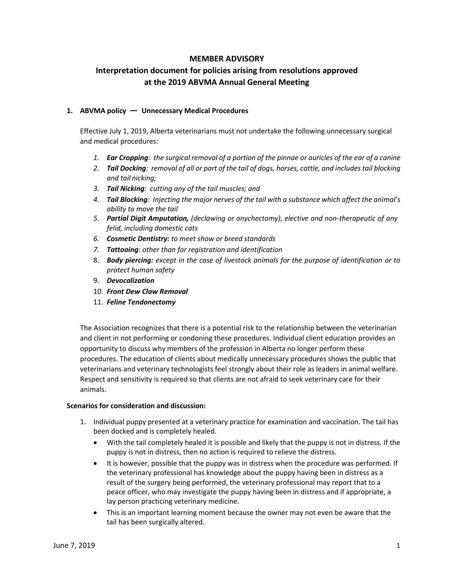# **MEMBER ADVISORY**

# **Interpretation document for policies arising from resolutions approved at the 2019 ABVMA Annual General Meeting**

## **1. ABVMA policy — Unnecessary Medical Procedures**

Effective July 1, 2019, Alberta veterinarians must not undertake the following unnecessary surgical and medical procedures:

- *1. Ear Cropping: the surgical removal of a portion of the pinnae or auricles of the ear of a canine*
- *2. Tail Docking: removal of all or part of the tail of dogs, horses, cattle, and includes tail blocking and tail nicking;*
- *3. Tail Nicking: cutting any of the tail muscles; and*
- *4. Tail Blocking: Injecting the major nerves of the tail with a substance which affect the animal's ability to move the tail*
- *5. Partial Digit Amputation, (declawing or onychectomy), elective and non-therapeutic of any felid, including domestic cats*
- *6. Cosmetic Dentistry: to meet show or breed standards*
- *7. Tattooing: other than for registration and identification*
- 8. *Body piercing: except in the case of livestock animals for the purpose of identification or to protect human safety*
- 9. *Devocalization*
- 10. *Front Dew Claw Removal*
- 11. *Feline Tendonectomy*

The Association recognizes that there is a potential risk to the relationship between the veterinarian and client in not performing or condoning these procedures. Individual client education provides an opportunity to discuss why members of the profession in Alberta no longer perform these procedures. The education of clients about medically unnecessary procedures shows the public that veterinarians and veterinary technologists feel strongly about their role as leaders in animal welfare. Respect and sensitivity is required so that clients are not afraid to seek veterinary care for their animals.

### **Scenarios for consideration and discussion:**

- 1. Individual puppy presented at a veterinary practice for examination and vaccination. The tail has been docked and is completely healed.
	- With the tail completely healed it is possible and likely that the puppy is not in distress. If the puppy is not in distress, then no action is required to relieve the distress.
	- It is however, possible that the puppy was in distress when the procedure was performed. If the veterinary professional has knowledge about the puppy having been in distress as a result of the surgery being performed, the veterinary professional may report that to a peace officer, who may investigate the puppy having been in distress and if appropriate, a lay person practicing veterinary medicine.
	- This is an important learning moment because the owner may not even be aware that the tail has been surgically altered.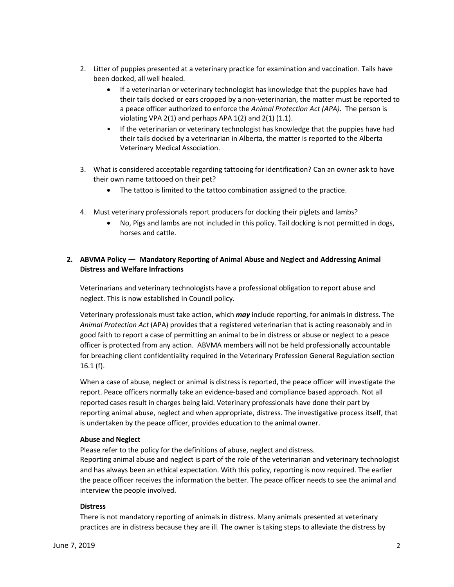- 2. Litter of puppies presented at a veterinary practice for examination and vaccination. Tails have been docked, all well healed.
	- If a veterinarian or veterinary technologist has knowledge that the puppies have had their tails docked or ears cropped by a non-veterinarian, the matter must be reported to a peace officer authorized to enforce the *Animal Protection Act (APA)*. The person is violating VPA 2(1) and perhaps APA  $1(2)$  and  $2(1)$   $(1.1)$ .
	- If the veterinarian or veterinary technologist has knowledge that the puppies have had their tails docked by a veterinarian in Alberta, the matter is reported to the Alberta Veterinary Medical Association.
- 3. What is considered acceptable regarding tattooing for identification? Can an owner ask to have their own name tattooed on their pet?
	- The tattoo is limited to the tattoo combination assigned to the practice.
- 4. Must veterinary professionals report producers for docking their piglets and lambs?
	- No, Pigs and lambs are not included in this policy. Tail docking is not permitted in dogs, horses and cattle.

## **2. ABVMA Policy — Mandatory Reporting of Animal Abuse and Neglect and Addressing Animal Distress and Welfare Infractions**

Veterinarians and veterinary technologists have a professional obligation to report abuse and neglect. This is now established in Council policy.

Veterinary professionals must take action, which *may* include reporting, for animals in distress. The *Animal Protection Act* (APA) provides that a registered veterinarian that is acting reasonably and in good faith to report a case of permitting an animal to be in distress or abuse or neglect to a peace officer is protected from any action. ABVMA members will not be held professionally accountable for breaching client confidentiality required in the Veterinary Profession General Regulation section 16.1 (f).

When a case of abuse, neglect or animal is distress is reported, the peace officer will investigate the report. Peace officers normally take an evidence-based and compliance based approach. Not all reported cases result in charges being laid. Veterinary professionals have done their part by reporting animal abuse, neglect and when appropriate, distress. The investigative process itself, that is undertaken by the peace officer, provides education to the animal owner.

### **Abuse and Neglect**

Please refer to the policy for the definitions of abuse, neglect and distress. Reporting animal abuse and neglect is part of the role of the veterinarian and veterinary technologist and has always been an ethical expectation. With this policy, reporting is now required. The earlier the peace officer receives the information the better. The peace officer needs to see the animal and interview the people involved.

### **Distress**

There is not mandatory reporting of animals in distress. Many animals presented at veterinary practices are in distress because they are ill. The owner is taking steps to alleviate the distress by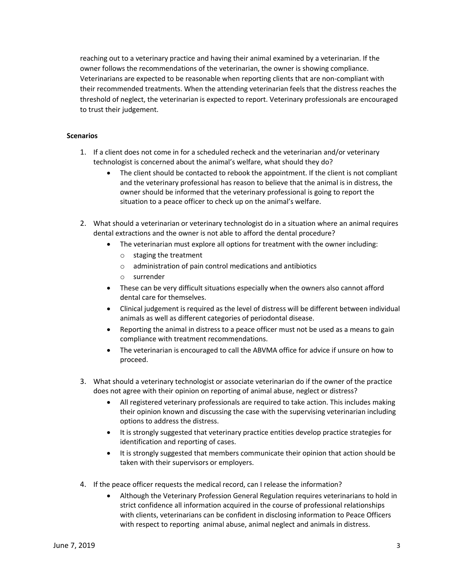reaching out to a veterinary practice and having their animal examined by a veterinarian. If the owner follows the recommendations of the veterinarian, the owner is showing compliance. Veterinarians are expected to be reasonable when reporting clients that are non-compliant with their recommended treatments. When the attending veterinarian feels that the distress reaches the threshold of neglect, the veterinarian is expected to report. Veterinary professionals are encouraged to trust their judgement.

## **Scenarios**

- 1. If a client does not come in for a scheduled recheck and the veterinarian and/or veterinary technologist is concerned about the animal's welfare, what should they do?
	- The client should be contacted to rebook the appointment. If the client is not compliant and the veterinary professional has reason to believe that the animal is in distress, the owner should be informed that the veterinary professional is going to report the situation to a peace officer to check up on the animal's welfare.
- 2. What should a veterinarian or veterinary technologist do in a situation where an animal requires dental extractions and the owner is not able to afford the dental procedure?
	- The veterinarian must explore all options for treatment with the owner including:
		- o staging the treatment
		- o administration of pain control medications and antibiotics
		- o surrender
	- These can be very difficult situations especially when the owners also cannot afford dental care for themselves.
	- Clinical judgement is required as the level of distress will be different between individual animals as well as different categories of periodontal disease.
	- Reporting the animal in distress to a peace officer must not be used as a means to gain compliance with treatment recommendations.
	- The veterinarian is encouraged to call the ABVMA office for advice if unsure on how to proceed.
- 3. What should a veterinary technologist or associate veterinarian do if the owner of the practice does not agree with their opinion on reporting of animal abuse, neglect or distress?
	- All registered veterinary professionals are required to take action. This includes making their opinion known and discussing the case with the supervising veterinarian including options to address the distress.
	- It is strongly suggested that veterinary practice entities develop practice strategies for identification and reporting of cases.
	- It is strongly suggested that members communicate their opinion that action should be taken with their supervisors or employers.
- 4. If the peace officer requests the medical record, can I release the information?
	- Although the Veterinary Profession General Regulation requires veterinarians to hold in strict confidence all information acquired in the course of professional relationships with clients, veterinarians can be confident in disclosing information to Peace Officers with respect to reporting animal abuse, animal neglect and animals in distress.